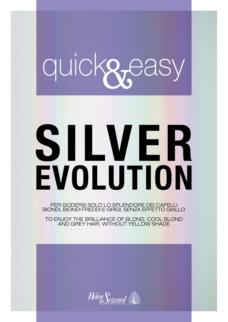# quickgeas

# SILVER EVOLUTION

PER GODERSI SOLO LO SPLENDORE DEI CAPELLI BIONDI, BIONDI FREDDI E GRIGI, SENZA EFFETTO GIALLO

TO ENJOY THE BRILLIANCE OF BLOND, COOL BLOND AND GREY HAIR, WITHOUT YELLOW SHADE

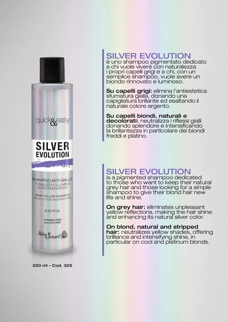

### SILVER EVOLUTION

è uno shampoo pigmentato dedicato a chi vuole vivere con naturalezza i propri capelli grigi e a chi, con un semplice shampoo, vuole avere un biondo rinnovato e luminoso.

Su capelli grigi: elimina l'antiestetica sfumatura gialla, donando una capigliatura brillante ed esaltando il naturale colore argento.

**Su capelli biondi, naturali e<br>decolorati:** neutralizza i riflessi gialli donando splendore e intensificando la brillantezza in particolare dei biondi freddi e platino.

## SILVER EVOLUTION

is a pigmented shampoo dedicated to those who want to keep their natural grey hair and those looking for a simple shampoo to give their blond hair new life and shine.

**On grey hair:** eliminates unpleasant yellow reflections, making the hair shine and enhancing its natural silver color.

#### On blond, natural and stripped

**hair:** neutralizes yellow shades, offering<br>brilliance and intensifying shine, in particular on cool and platinum blonds.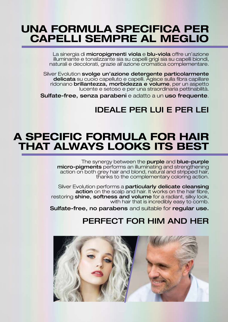## UNA FORMULA SPECIFICA PER CAPELLI SEMPRE AL MEGLIO

La sinergia di micropigmenti viola e blu-viola offre un'azione illuminante e tonalizzante sia su capelli grigi sia su capelli biondi, naturali e decolorati, grazie all'azione cromatica complementare.

Silver Evolution svolge un'azione detergente particolarmente delicata su cuoio capelluto e capelli. Agisce sulla fibra capillare ridonano brillantezza, morbidezza e volume, per un aspetto lucente e setoso e per una straordinaria pettinabilità.

Sulfate-free, senza parabeni e adatto a un uso frequente.

#### IDEALE PER LUI E PER LEI

## A SPECIFIC FORMULA FOR HAIR THAT ALWAYS LOOKS ITS BEST

The synergy between the purple and blue-purple micro-pigments performs an illuminating and strengthening action on both grey hair and blond, natural and stripped hair,<br>thanks to the complementary coloring action.

Silver Evolution performs a particularly delicate cleansing action on the scalp and hair. It works on the hair fibre, restoring shine, softness and volume for a radiant, silky look, with hair that is incredibly easy to comb.

Sulfate-free, no parabens and suitable for regular use.

#### PERFECT FOR HIM AND HER